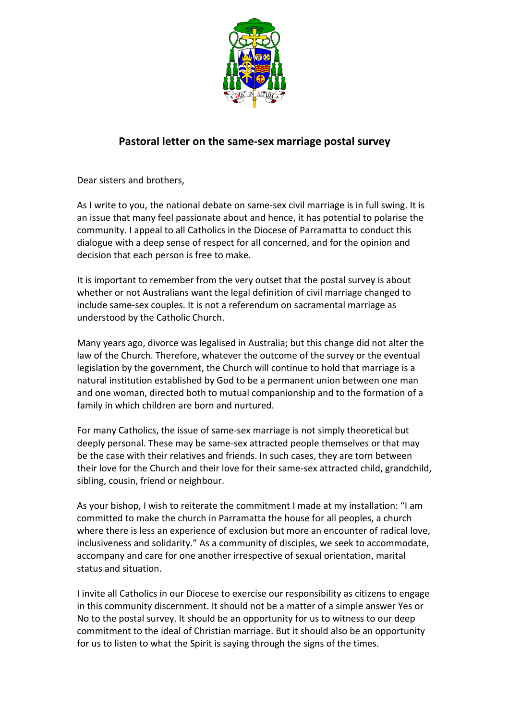

## **Pastoral letter on the same-sex marriage postal survey**

Dear sisters and brothers,

As I write to you, the national debate on same-sex civil marriage is in full swing. It is an issue that many feel passionate about and hence, it has potential to polarise the community. I appeal to all Catholics in the Diocese of Parramatta to conduct this dialogue with a deep sense of respect for all concerned, and for the opinion and decision that each person is free to make.

It is important to remember from the very outset that the postal survey is about whether or not Australians want the legal definition of civil marriage changed to include same-sex couples. It is not a referendum on sacramental marriage as understood by the Catholic Church.

Many years ago, divorce was legalised in Australia; but this change did not alter the law of the Church. Therefore, whatever the outcome of the survey or the eventual legislation by the government, the Church will continue to hold that marriage is a natural institution established by God to be a permanent union between one man and one woman, directed both to mutual companionship and to the formation of a family in which children are born and nurtured.

For many Catholics, the issue of same-sex marriage is not simply theoretical but deeply personal. These may be same-sex attracted people themselves or that may be the case with their relatives and friends. In such cases, they are torn between their love for the Church and their love for their same-sex attracted child, grandchild, sibling, cousin, friend or neighbour.

As your bishop, I wish to reiterate the commitment I made at my installation: "I am committed to make the church in Parramatta the house for all peoples, a church where there is less an experience of exclusion but more an encounter of radical love, inclusiveness and solidarity." As a community of disciples, we seek to accommodate, accompany and care for one another irrespective of sexual orientation, marital status and situation.

I invite all Catholics in our Diocese to exercise our responsibility as citizens to engage in this community discernment. It should not be a matter of a simple answer Yes or No to the postal survey. It should be an opportunity for us to witness to our deep commitment to the ideal of Christian marriage. But it should also be an opportunity for us to listen to what the Spirit is saying through the signs of the times.